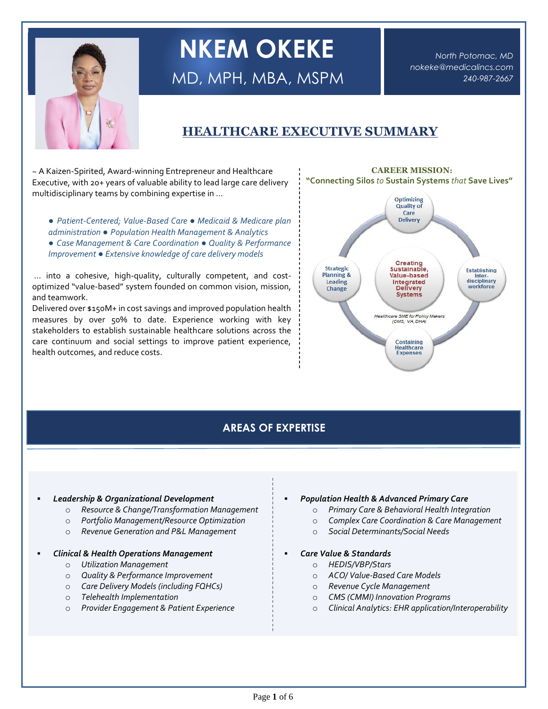

# **NKEM OKEKE**

MD, MPH, MBA, MSPM

*North Potomac, MD [nokeke@medicalincs.com](mailto:nokeke@medicalincs.com) 240-987-2667*

## **HEALTHCARE EXECUTIVE SUMMARY**

~ A Kaizen-Spirited, Award-winning Entrepreneur and Healthcare Executive, with 20+ years of valuable ability to lead large care delivery multidisciplinary teams by combining expertise in …

- *Patient-Centered; Value-Based Care ● Medicaid & Medicare plan administration ● Population Health Management & Analytics*
- *Case Management & Care Coordination ● Quality & Performance Improvement ● Extensive knowledge of care delivery models*

… into a cohesive, high-quality, culturally competent, and costoptimized "value-based" system founded on common vision, mission, and teamwork.

Delivered over \$150M+ in cost savings and improved population health measures by over 50% to date. Experience working with key stakeholders to establish sustainable healthcare solutions across the care continuum and social settings to improve patient experience, health outcomes, and reduce costs.



## **AREAS OF EXPERTISE**

#### ▪ *Leadership & Organizational Development*

- o *Resource & Change/Transformation Management*
- o *Portfolio Management/Resource Optimization*
- o *Revenue Generation and P&L Management*

#### ▪ *Clinical & Health Operations Management*

- o *Utilization Management*
- o *Quality & Performance Improvement*
- o *Care Delivery Models (including FQHCs)*
- o *Telehealth Implementation*
- o *Provider Engagement & Patient Experience*

#### ▪ *Population Health & Advanced Primary Care*

- o *Primary Care & Behavioral Health Integration*
- o *Complex Care Coordination & Care Management*
- o *Social Determinants/Social Needs*
- *Care Value & Standards*
	- o *HEDIS/VBP/Stars*
	- o *ACO/ Value-Based Care Models*
	- o *Revenue Cycle Management*
	- o *CMS (CMMI) Innovation Programs*
	- o *Clinical Analytics: EHR application/Interoperability*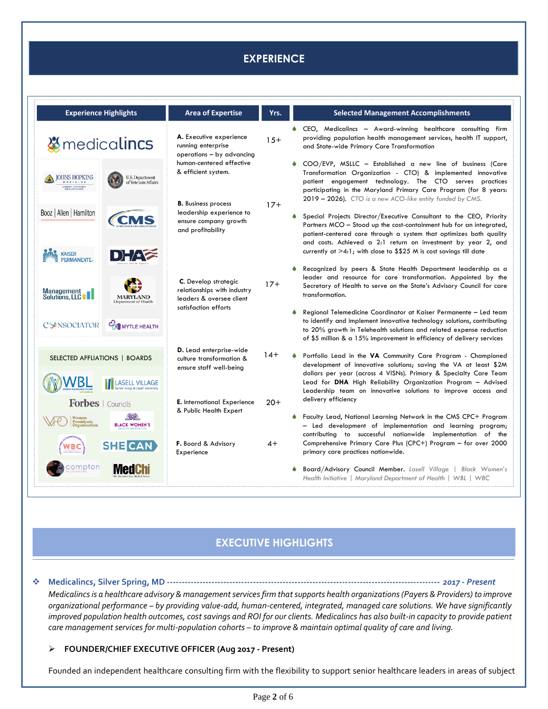## **EXPERIENCE**

| <b>Experience Highlights</b>                                                                                            | <b>Area of Expertise</b>                                                                                                                                | Yrs.  | <b>Selected Management Accomplishments</b>                                                                                                                                                                                                                                                                                                                                                                                                                                                                                               |
|-------------------------------------------------------------------------------------------------------------------------|---------------------------------------------------------------------------------------------------------------------------------------------------------|-------|------------------------------------------------------------------------------------------------------------------------------------------------------------------------------------------------------------------------------------------------------------------------------------------------------------------------------------------------------------------------------------------------------------------------------------------------------------------------------------------------------------------------------------------|
| <b><i><u></u></i></b> medicalincs                                                                                       | A. Executive experience<br>running enterprise<br>operations - by advancing                                                                              | $15+$ | CEO, Medicalincs - Award-winning healthcare consulting firm<br>providing population health management services, health IT support,<br>and State-wide Primary Care Transformation                                                                                                                                                                                                                                                                                                                                                         |
| <b>IOHNS HOPKINS</b><br>U.S. Department<br>of Veterans Affairs<br>OHNS HOPKINS<br>Booz   Allen   Hamilton<br><b>CMS</b> | human-centered effective<br>& efficient system.<br><b>B.</b> Business process<br>leadership experience to<br>ensure company growth<br>and profitability | $17+$ | COO/EVP, MSLLC - Established a new line of business (Care<br>Transformation Organization - CTO) & implemented innovative<br>patient engagement technology. The CTO serves practices<br>participating in the Maryland Primary Care Program (for 8 years:<br>2019 - 2026). CTO is a new ACO-like entity funded by CMS.<br>Special Projects Director/Executive Consultant to the CEO, Priority<br>Partners MCO – Stood up the cost-containment hub for an integrated,<br>patient-centered care through a system that optimizes both quality |
| <b>KAISER</b><br>$\Box \rangle = / \pm \epsilon$<br><b>PERMANENTE</b><br>Management<br>Solutions, LLC                   | C. Develop strategic<br>relationships with industry<br>leaders & oversee client<br>satisfaction efforts                                                 | $17+$ | and costs. Achieved a 2:1 return on investment by year 2, and<br>currently at $>4.1$ ; with close to \$\$25 M is cost savings till date<br>Recognized by peers & State Health Department leadership as a<br>leader and resource for care transformation. Appointed by the<br>Secretary of Health to serve on the State's Advisory Council for care<br>transformation.                                                                                                                                                                    |
| <b>MARYLAND</b><br>Department of Health<br>CONSOCIATOR<br>MYTLE HEALTH                                                  |                                                                                                                                                         |       | Regional Telemedicine Coordinator at Kaiser Permanente - Led team<br>to identify and implement innovative technology solutions, contributing<br>to 20% growth in Telehealth solutions and related expense reduction<br>of \$5 million & a 15% improvement in efficiency of delivery services                                                                                                                                                                                                                                             |
| SELECTED AFFLIATIONS   BOARDS<br>VBI                                                                                    | D. Lead enterprise-wide<br>culture transformation &<br>ensure staff well-being                                                                          | $14+$ | Portfolio Lead in the VA Community Care Program - Championed<br>development of innovative solutions; saving the VA at least \$2M<br>dollars per year (across 4 VISNs). Primary & Specialty Care Team<br>Lead for DHA High Reliability Organization Program - Advised<br>Leadership team on innovative solutions to improve access and                                                                                                                                                                                                    |
| Forbes   Councils<br><b>NWA</b><br>Women<br><b>Presidents</b><br><b>BLACK WOMEN'S</b><br>Organization                   | <b>E.</b> International Experience<br>& Public Health Expert                                                                                            | $20+$ | delivery efficiency<br>Faculty Lead, National Learning Network in the CMS CPC+ Program<br>- Led development of implementation and learning program;<br>contributing to successful nationwide implementation of the                                                                                                                                                                                                                                                                                                                       |
| <b>SHE CAN</b><br>ompton                                                                                                | F. Board & Advisory<br>Experience                                                                                                                       | 4+    | Comprehensive Primary Care Plus (CPC+) Program - for over 2000<br>primary care practices nationwide.<br>Board/Advisory Council Member. Lasell Village   Black Women's                                                                                                                                                                                                                                                                                                                                                                    |
|                                                                                                                         |                                                                                                                                                         |       | Health Initiative   Maryland Department of Health   WBL   WBC                                                                                                                                                                                                                                                                                                                                                                                                                                                                            |

## **EXECUTIVE HIGHLIGHTS**

#### ❖ **Medicalincs, Silver Spring, MD --------------------------------------------------------------------------------------------** *2017 - Present*

*Medicalincs is a healthcare advisory & management services firm that supports health organizations(Payers & Providers) to improve organizational performance – by providing value-add, human-centered, integrated, managed care solutions. We have significantly improved population health outcomes, cost savings and ROI for our clients. Medicalincs has also built-in capacity to provide patient care management services for multi-population cohorts – to improve & maintain optimal quality of care and living.*

#### ➢ **FOUNDER/CHIEF EXECUTIVE OFFICER (Aug 2017 - Present)**

Founded an independent healthcare consulting firm with the flexibility to support senior healthcare leaders in areas of subject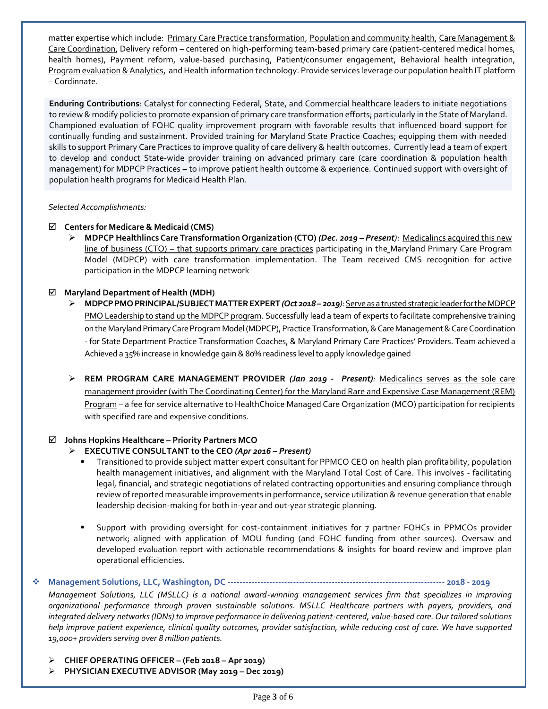matter expertise which include: Primary Care Practice transformation, Population and community health, Care Management & Care Coordination, Delivery reform – centered on high-performing team-based primary care (patient-centered medical homes, health homes), Payment reform, value-based purchasing, Patient/consumer engagement, Behavioral health integration, Program evaluation & Analytics, and Health information technology. Provide services leverage our population health IT platform – Cordinnate.

**Enduring Contributions**: Catalyst for connecting Federal, State, and Commercial healthcare leaders to initiate negotiations to review & modify policies to promote expansion of primary care transformation efforts; particularly in the State of Maryland. Championed evaluation of FQHC quality improvement program with favorable results that influenced board support for continually funding and sustainment. Provided training for Maryland State Practice Coaches; equipping them with needed skills to support Primary Care Practices to improve quality of care delivery & health outcomes. Currently lead a team of expert to develop and conduct State-wide provider training on advanced primary care (care coordination & population health management) for MDPCP Practices – to improve patient health outcome & experience. Continued support with oversight of population health programs for Medicaid Health Plan.

#### *Selected Accomplishments:*

#### **Centers for Medicare & Medicaid (CMS)**

➢ **MDPCP Healthlincs Care Transformation Organization (CTO)** *(Dec. 2019 – Present)*: Medicalincs acquired this new line of business (CTO) – that supports primary care practices participating in the Maryland Primary Care Program Model (MDPCP) with care transformation implementation. The Team received CMS recognition for active participation in the MDPCP learning network

#### **Maryland Department of Health (MDH)**

- ➢ **MDPCP PMO PRINCIPAL/SUBJECT MATTER EXPERT** *(Oct 2018 – 2019)*: Serve as a trusted strategic leader for the MDPCP PMO Leadership to stand up the MDPCP program. Successfully lead a team of experts to facilitate comprehensive training on the Maryland Primary Care Program Model (MDPCP), Practice Transformation, & Care Management& Care Coordination - for State Department Practice Transformation Coaches, & Maryland Primary Care Practices' Providers. Team achieved a Achieved a 35% increase in knowledge gain & 80% readiness level to apply knowledge gained
- ➢ **REM PROGRAM CARE MANAGEMENT PROVIDER** *(Jan 2019 Present):* Medicalincs serves as the sole care management provider (with The Coordinating Center) for the Maryland Rare and Expensive Case Management (REM) Program – a fee for service alternative to HealthChoice Managed Care Organization (MCO) participation for recipients with specified rare and expensive conditions.

#### **Johns Hopkins Healthcare – Priority Partners MCO**

#### ➢ **EXECUTIVE CONSULTANT to the CEO** *(Apr 2016 – Present)*

- Transitioned to provide subject matter expert consultant for PPMCO CEO on health plan profitability, population health management initiatives, and alignment with the Maryland Total Cost of Care. This involves - facilitating legal, financial, and strategic negotiations of related contracting opportunities and ensuring compliance through review of reported measurable improvements in performance, service utilization & revenue generation that enable leadership decision-making for both in-year and out-year strategic planning.
- Support with providing oversight for cost-containment initiatives for 7 partner FQHCs in PPMCOs provider network; aligned with application of MOU funding (and FQHC funding from other sources). Oversaw and developed evaluation report with actionable recommendations & insights for board review and improve plan operational efficiencies.

#### ❖ **Management Solutions, LLC, Washington, DC ------------------------------------------------------------------------- 2018 - 2019**

*Management Solutions, LLC (MSLLC) is a national award-winning management services firm that specializes in improving organizational performance through proven sustainable solutions. MSLLC Healthcare partners with payers, providers, and integrated delivery networks (IDNs) to improve performance in delivering patient-centered, value-based care. Our tailored solutions help improve patient experience, clinical quality outcomes, provider satisfaction, while reducing cost of care. We have supported 19,000+ providers serving over 8 million patients.* 

- ➢ **CHIEF OPERATING OFFICER – (Feb 2018 – Apr 2019)**
- ➢ **PHYSICIAN EXECUTIVE ADVISOR (May 2019 – Dec 2019)**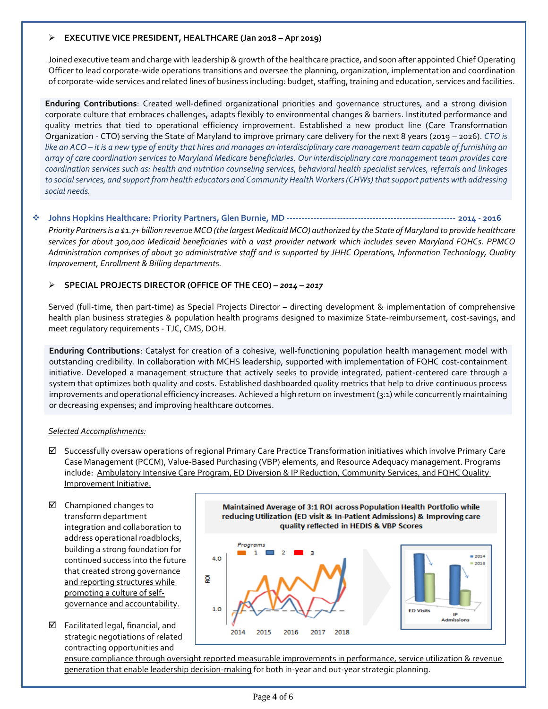#### ➢ **EXECUTIVE VICE PRESIDENT, HEALTHCARE (Jan 2018 – Apr 2019)**

Joined executive team and charge with leadership & growth of the healthcare practice, and soon after appointed Chief Operating Officer to lead corporate-wide operations transitions and oversee the planning, organization, implementation and coordination of corporate-wide services and related lines of business including: budget, staffing, training and education, services and facilities.

**Enduring Contributions**: Created well-defined organizational priorities and governance structures, and a strong division corporate culture that embraces challenges, adapts flexibly to environmental changes & barriers. Instituted performance and quality metrics that tied to operational efficiency improvement. Established a new product line (Care Transformation Organization - CTO) serving the State of Maryland to improve primary care delivery for the next 8 years (2019 – 2026). *CTO is like an ACO – it is a new type of entity that hires and manages an interdisciplinary care management team capable of furnishing an array of care coordination services to Maryland Medicare beneficiaries. Our interdisciplinary care management team provides care coordination services such as: health and nutrition counseling services, behavioral health specialist services, referrals and linkages to social services, and support from health educators and Community Health Workers (CHWs) that support patients with addressing social needs.*

#### ❖ **Johns Hopkins Healthcare: Priority Partners, Glen Burnie, MD --------------------------------------------------------- 2014 - 2016**

*Priority Partnersis a \$1.7+ billion revenue MCO (the largest Medicaid MCO) authorized by the State of Maryland to provide healthcare services for about 300,000 Medicaid beneficiaries with a vast provider network which includes seven Maryland FQHCs. PPMCO Administration comprises of about 30 administrative staff and is supported by JHHC Operations, Information Technology, Quality Improvement, Enrollment & Billing departments.*

#### ➢ **SPECIAL PROJECTS DIRECTOR (OFFICE OF THE CEO)** *– 2014 – 2017*

Served (full-time, then part-time) as Special Projects Director – directing development & implementation of comprehensive health plan business strategies & population health programs designed to maximize State-reimbursement, cost-savings, and meet regulatory requirements - TJC, CMS, DOH.

**Enduring Contributions**: Catalyst for creation of a cohesive, well-functioning population health management model with outstanding credibility. In collaboration with MCHS leadership, supported with implementation of FQHC cost-containment initiative. Developed a management structure that actively seeks to provide integrated, patient-centered care through a system that optimizes both quality and costs. Established dashboarded quality metrics that help to drive continuous process improvements and operational efficiency increases. Achieved a high return on investment (3:1) while concurrently maintaining or decreasing expenses; and improving healthcare outcomes.

#### *Selected Accomplishments:*

- $\boxtimes$  Successfully oversaw operations of regional Primary Care Practice Transformation initiatives which involve Primary Care Case Management (PCCM), Value-Based Purchasing (VBP) elements, and Resource Adequacy management. Programs include: Ambulatory Intensive Care Program, ED Diversion & IP Reduction, Community Services, and FQHC Quality Improvement Initiative.
- $\boxtimes$  Championed changes to transform department integration and collaboration to address operational roadblocks, building a strong foundation for continued success into the future that created strong governance and reporting structures while promoting a culture of selfgovernance and accountability.
- $\boxtimes$  Facilitated legal, financial, and strategic negotiations of related contracting opportunities and



ensure compliance through oversight reported measurable improvements in performance, service utilization & revenue generation that enable leadership decision-making for both in-year and out-year strategic planning.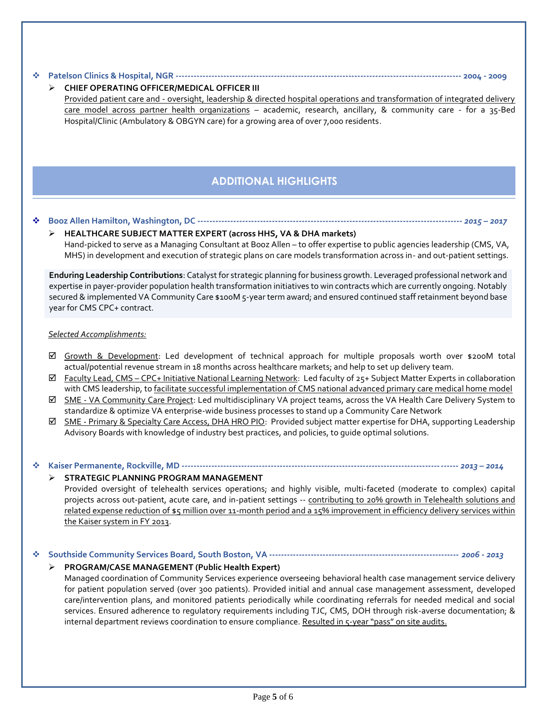#### ❖ **Patelson Clinics & Hospital, NGR ------------------------------------------------------------------------------------------------ 2004 - 2009**

#### ➢ **CHIEF OPERATING OFFICER/MEDICAL OFFICER III**

Provided patient care and - oversight, leadership & directed hospital operations and transformation of integrated delivery care model across partner health organizations – academic, research, ancillary, & community care - for a 35-Bed Hospital/Clinic (Ambulatory & OBGYN care) for a growing area of over 7,000 residents.

### **ADDITIONAL HIGHLIGHTS**

#### ❖ **Booz Allen Hamilton, Washington, DC -----------------------------------------------------------------------------------------** *2015 – 2017*

#### ➢ **HEALTHCARE SUBJECT MATTER EXPERT (across HHS, VA & DHA markets)** Hand-picked to serve as a Managing Consultant at Booz Allen – to offer expertise to public agencies leadership (CMS, VA, MHS) in development and execution of strategic plans on care models transformation across in- and out-patient settings.

**Enduring Leadership Contributions**: Catalyst for strategic planning for business growth. Leveraged professional network and expertise in payer-provider population health transformation initiatives to win contracts which are currently ongoing. Notably secured & implemented VA Community Care \$100M 5-year term award; and ensured continued staff retainment beyond base year for CMS CPC+ contract.

#### *Selected Accomplishments:*

- Growth & Development: Led development of technical approach for multiple proposals worth over \$200M total actual/potential revenue stream in 18 months across healthcare markets; and help to set up delivery team.
- $\boxtimes$  Faculty Lead, CMS CPC+ Initiative National Learning Network: Led faculty of 25+ Subject Matter Experts in collaboration with CMS leadership, to facilitate successful implementation of CMS national advanced primary care medical home model
- $✓$  **SME VA Community Care Project:** Led multidisciplinary VA project teams, across the VA Health Care Delivery System to standardize & optimize VA enterprise-wide business processes to stand up a Community Care Network
- $✓$  **SME Primary & Specialty Care Access, DHA HRO PIO:** Provided subject matter expertise for DHA, supporting Leadership Advisory Boards with knowledge of industry best practices, and policies, to guide optimal solutions.

#### ❖ **Kaiser Permanente, Rockville, MD ---------------------------------------------------------------------------------------------** *2013 – 2014*

#### ➢ **STRATEGIC PLANNING PROGRAM MANAGEMENT**

Provided oversight of telehealth services operations; and highly visible, multi-faceted (moderate to complex) capital projects across out-patient, acute care, and in-patient settings -- contributing to 20% growth in Telehealth solutions and related expense reduction of \$5 million over 11-month period and a 15% improvement in efficiency delivery services within the Kaiser system in FY 2013.

#### ❖ **Southside Community Services Board, South Boston, VA ----------------------------------------------------------------** *2006 - 2013*

#### ➢ **PROGRAM/CASE MANAGEMENT (Public Health Expert)**

Managed coordination of Community Services experience overseeing behavioral health case management service delivery for patient population served (over 300 patients). Provided initial and annual case management assessment, developed care/intervention plans, and monitored patients periodically while coordinating referrals for needed medical and social services. Ensured adherence to regulatory requirements including TJC, CMS, DOH through risk-averse documentation; & internal department reviews coordination to ensure compliance. Resulted in 5-year "pass" on site audits.